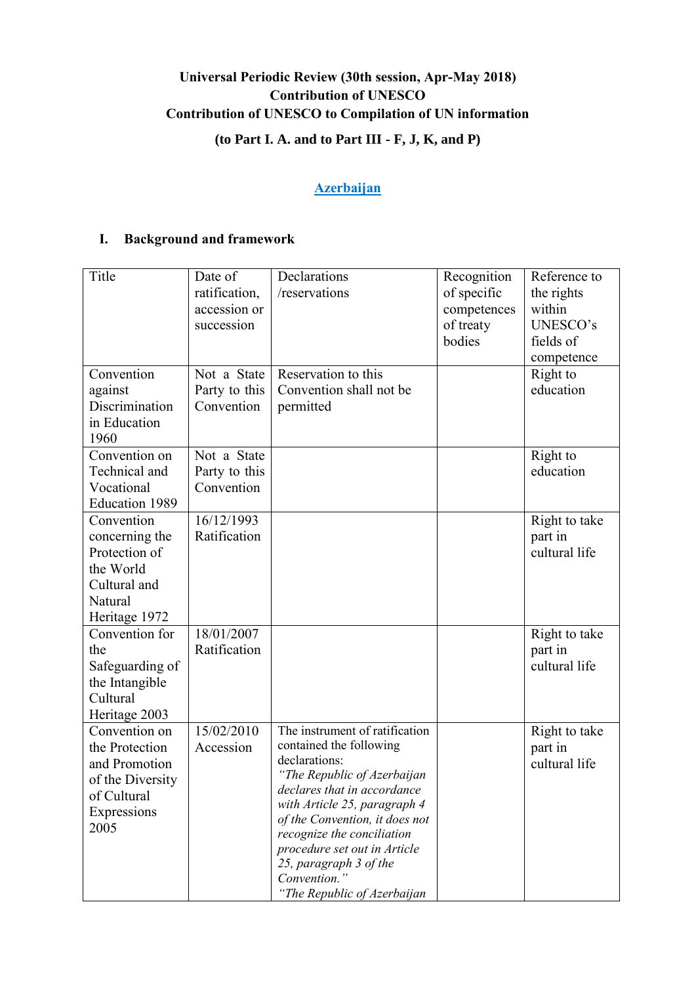# **Universal Periodic Review (30th session, Apr-May 2018) Contribution of UNESCO Contribution of UNESCO to Compilation of UN information**

# **(to Part I. A. and to Part III - F, J, K, and P)**

# **Azerbaijan**

# **I. Background and framework**

| Title                                                                                                      | Date of<br>ratification,<br>accession or<br>succession | Declarations<br>/reservations                                                                                                                                                                                                                                                                                                                     | Recognition<br>of specific<br>competences<br>of treaty<br>bodies | Reference to<br>the rights<br>within<br>UNESCO's<br>fields of<br>competence |
|------------------------------------------------------------------------------------------------------------|--------------------------------------------------------|---------------------------------------------------------------------------------------------------------------------------------------------------------------------------------------------------------------------------------------------------------------------------------------------------------------------------------------------------|------------------------------------------------------------------|-----------------------------------------------------------------------------|
| Convention<br>against<br>Discrimination<br>in Education<br>1960                                            | Not a State<br>Party to this<br>Convention             | Reservation to this<br>Convention shall not be<br>permitted                                                                                                                                                                                                                                                                                       |                                                                  | Right to<br>education                                                       |
| Convention on<br>Technical and<br>Vocational<br>Education 1989                                             | Not a State<br>Party to this<br>Convention             |                                                                                                                                                                                                                                                                                                                                                   |                                                                  | Right to<br>education                                                       |
| Convention<br>concerning the<br>Protection of<br>the World<br>Cultural and<br>Natural<br>Heritage 1972     | 16/12/1993<br>Ratification                             |                                                                                                                                                                                                                                                                                                                                                   |                                                                  | Right to take<br>part in<br>cultural life                                   |
| Convention for<br>the<br>Safeguarding of<br>the Intangible<br>Cultural<br>Heritage 2003                    | 18/01/2007<br>Ratification                             |                                                                                                                                                                                                                                                                                                                                                   |                                                                  | Right to take<br>part in<br>cultural life                                   |
| Convention on<br>the Protection<br>and Promotion<br>of the Diversity<br>of Cultural<br>Expressions<br>2005 | 15/02/2010<br>Accession                                | The instrument of ratification<br>contained the following<br>declarations:<br>"The Republic of Azerbaijan<br>declares that in accordance<br>with Article 25, paragraph 4<br>of the Convention, it does not<br>recognize the conciliation<br>procedure set out in Article<br>25, paragraph 3 of the<br>Convention."<br>"The Republic of Azerbaijan |                                                                  | Right to take<br>part in<br>cultural life                                   |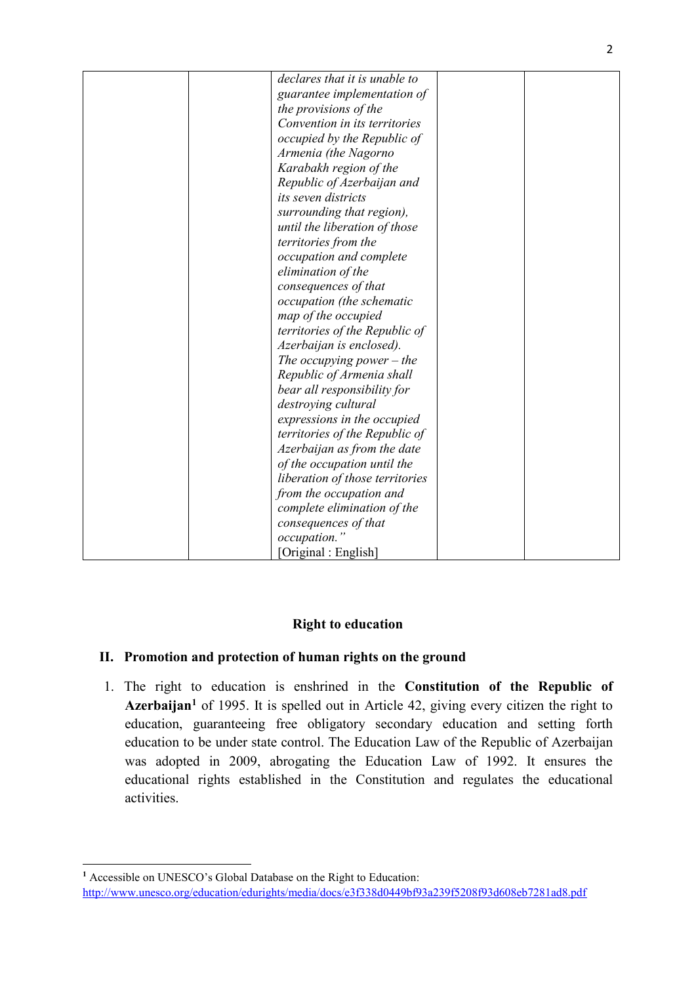| declares that it is unable to<br>guarantee implementation of<br>the provisions of the<br>Convention in its territories<br>occupied by the Republic of<br>Armenia (the Nagorno<br>Karabakh region of the<br>Republic of Azerbaijan and<br>its seven districts<br>surrounding that region),<br>until the liberation of those<br>territories from the<br>occupation and complete<br>elimination of the<br>consequences of that<br>occupation (the schematic<br>map of the occupied<br>territories of the Republic of<br>Azerbaijan is enclosed).<br>The occupying power $-$ the<br>Republic of Armenia shall<br>bear all responsibility for<br>destroying cultural<br>expressions in the occupied<br>territories of the Republic of<br>Azerbaijan as from the date<br>of the occupation until the<br>liberation of those territories<br>from the occupation and<br>complete elimination of the<br>consequences of that<br>occupation."<br>[Original: English] |  |  |
|------------------------------------------------------------------------------------------------------------------------------------------------------------------------------------------------------------------------------------------------------------------------------------------------------------------------------------------------------------------------------------------------------------------------------------------------------------------------------------------------------------------------------------------------------------------------------------------------------------------------------------------------------------------------------------------------------------------------------------------------------------------------------------------------------------------------------------------------------------------------------------------------------------------------------------------------------------|--|--|
|                                                                                                                                                                                                                                                                                                                                                                                                                                                                                                                                                                                                                                                                                                                                                                                                                                                                                                                                                            |  |  |
|                                                                                                                                                                                                                                                                                                                                                                                                                                                                                                                                                                                                                                                                                                                                                                                                                                                                                                                                                            |  |  |
|                                                                                                                                                                                                                                                                                                                                                                                                                                                                                                                                                                                                                                                                                                                                                                                                                                                                                                                                                            |  |  |
|                                                                                                                                                                                                                                                                                                                                                                                                                                                                                                                                                                                                                                                                                                                                                                                                                                                                                                                                                            |  |  |
|                                                                                                                                                                                                                                                                                                                                                                                                                                                                                                                                                                                                                                                                                                                                                                                                                                                                                                                                                            |  |  |
|                                                                                                                                                                                                                                                                                                                                                                                                                                                                                                                                                                                                                                                                                                                                                                                                                                                                                                                                                            |  |  |
|                                                                                                                                                                                                                                                                                                                                                                                                                                                                                                                                                                                                                                                                                                                                                                                                                                                                                                                                                            |  |  |
|                                                                                                                                                                                                                                                                                                                                                                                                                                                                                                                                                                                                                                                                                                                                                                                                                                                                                                                                                            |  |  |
|                                                                                                                                                                                                                                                                                                                                                                                                                                                                                                                                                                                                                                                                                                                                                                                                                                                                                                                                                            |  |  |
|                                                                                                                                                                                                                                                                                                                                                                                                                                                                                                                                                                                                                                                                                                                                                                                                                                                                                                                                                            |  |  |
|                                                                                                                                                                                                                                                                                                                                                                                                                                                                                                                                                                                                                                                                                                                                                                                                                                                                                                                                                            |  |  |
|                                                                                                                                                                                                                                                                                                                                                                                                                                                                                                                                                                                                                                                                                                                                                                                                                                                                                                                                                            |  |  |
|                                                                                                                                                                                                                                                                                                                                                                                                                                                                                                                                                                                                                                                                                                                                                                                                                                                                                                                                                            |  |  |
|                                                                                                                                                                                                                                                                                                                                                                                                                                                                                                                                                                                                                                                                                                                                                                                                                                                                                                                                                            |  |  |
|                                                                                                                                                                                                                                                                                                                                                                                                                                                                                                                                                                                                                                                                                                                                                                                                                                                                                                                                                            |  |  |
|                                                                                                                                                                                                                                                                                                                                                                                                                                                                                                                                                                                                                                                                                                                                                                                                                                                                                                                                                            |  |  |
|                                                                                                                                                                                                                                                                                                                                                                                                                                                                                                                                                                                                                                                                                                                                                                                                                                                                                                                                                            |  |  |
|                                                                                                                                                                                                                                                                                                                                                                                                                                                                                                                                                                                                                                                                                                                                                                                                                                                                                                                                                            |  |  |
|                                                                                                                                                                                                                                                                                                                                                                                                                                                                                                                                                                                                                                                                                                                                                                                                                                                                                                                                                            |  |  |
|                                                                                                                                                                                                                                                                                                                                                                                                                                                                                                                                                                                                                                                                                                                                                                                                                                                                                                                                                            |  |  |
|                                                                                                                                                                                                                                                                                                                                                                                                                                                                                                                                                                                                                                                                                                                                                                                                                                                                                                                                                            |  |  |
|                                                                                                                                                                                                                                                                                                                                                                                                                                                                                                                                                                                                                                                                                                                                                                                                                                                                                                                                                            |  |  |
|                                                                                                                                                                                                                                                                                                                                                                                                                                                                                                                                                                                                                                                                                                                                                                                                                                                                                                                                                            |  |  |
|                                                                                                                                                                                                                                                                                                                                                                                                                                                                                                                                                                                                                                                                                                                                                                                                                                                                                                                                                            |  |  |
|                                                                                                                                                                                                                                                                                                                                                                                                                                                                                                                                                                                                                                                                                                                                                                                                                                                                                                                                                            |  |  |
|                                                                                                                                                                                                                                                                                                                                                                                                                                                                                                                                                                                                                                                                                                                                                                                                                                                                                                                                                            |  |  |
|                                                                                                                                                                                                                                                                                                                                                                                                                                                                                                                                                                                                                                                                                                                                                                                                                                                                                                                                                            |  |  |
|                                                                                                                                                                                                                                                                                                                                                                                                                                                                                                                                                                                                                                                                                                                                                                                                                                                                                                                                                            |  |  |
|                                                                                                                                                                                                                                                                                                                                                                                                                                                                                                                                                                                                                                                                                                                                                                                                                                                                                                                                                            |  |  |
|                                                                                                                                                                                                                                                                                                                                                                                                                                                                                                                                                                                                                                                                                                                                                                                                                                                                                                                                                            |  |  |
|                                                                                                                                                                                                                                                                                                                                                                                                                                                                                                                                                                                                                                                                                                                                                                                                                                                                                                                                                            |  |  |
|                                                                                                                                                                                                                                                                                                                                                                                                                                                                                                                                                                                                                                                                                                                                                                                                                                                                                                                                                            |  |  |
|                                                                                                                                                                                                                                                                                                                                                                                                                                                                                                                                                                                                                                                                                                                                                                                                                                                                                                                                                            |  |  |

# **Right to education**

# **II. Promotion and protection of human rights on the ground**

1. The right to education is enshrined in the **Constitution of the Republic of Azerbaijan<sup>1</sup>** of 1995. It is spelled out in Article 42, giving every citizen the right to education, guaranteeing free obligatory secondary education and setting forth education to be under state control. The Education Law of the Republic of Azerbaijan was adopted in 2009, abrogating the Education Law of 1992. It ensures the educational rights established in the Constitution and regulates the educational activities.

<sup>1</sup> **<sup>1</sup>** Accessible on UNESCO's Global Database on the Right to Education: <http://www.unesco.org/education/edurights/media/docs/e3f338d0449bf93a239f5208f93d608eb7281ad8.pdf>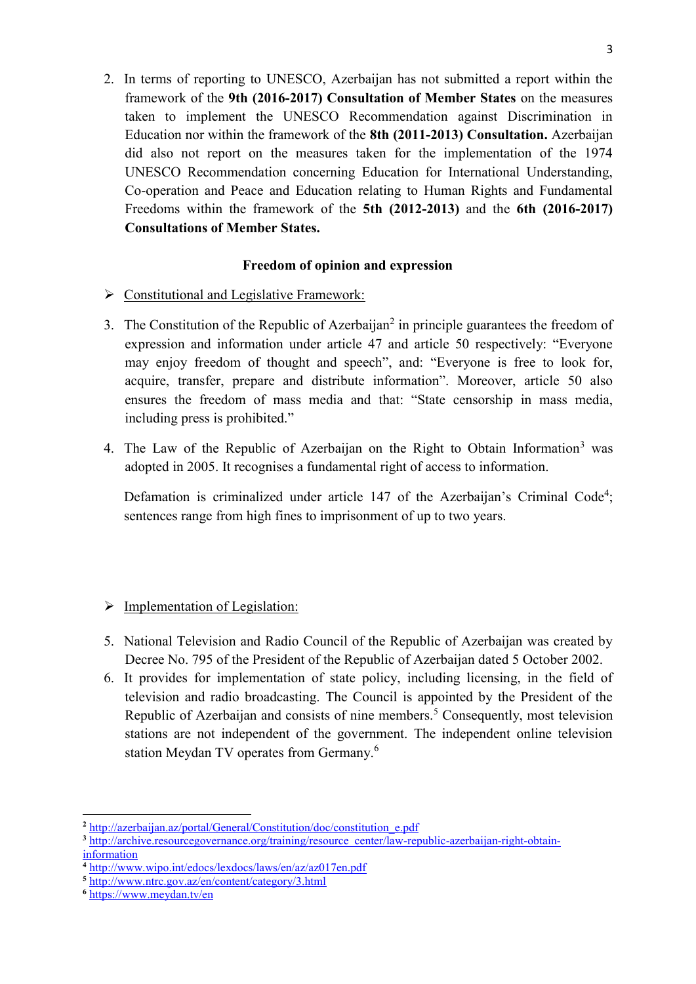2. In terms of reporting to UNESCO, Azerbaijan has not submitted a report within the framework of the **9th (2016-2017) Consultation of Member States** on the measures taken to implement the UNESCO Recommendation against Discrimination in Education nor within the framework of the **8th (2011-2013) Consultation.** Azerbaijan did also not report on the measures taken for the implementation of the 1974 UNESCO Recommendation concerning Education for International Understanding, Co-operation and Peace and Education relating to Human Rights and Fundamental Freedoms within the framework of the **5th (2012-2013)** and the **6th (2016-2017) Consultations of Member States.**

### **Freedom of opinion and expression**

- $\triangleright$  Constitutional and Legislative Framework:
- 3. The Constitution of the Republic of Azerbaijan<sup>2</sup> in principle guarantees the freedom of expression and information under article 47 and article 50 respectively: "Everyone may enjoy freedom of thought and speech", and: "Everyone is free to look for, acquire, transfer, prepare and distribute information". Moreover, article 50 also ensures the freedom of mass media and that: "State censorship in mass media, including press is prohibited."
- 4. The Law of the Republic of Azerbaijan on the Right to Obtain Information<sup>3</sup> was adopted in 2005. It recognises a fundamental right of access to information.

Defamation is criminalized under article 147 of the Azerbaijan's Criminal Code<sup>4</sup>; sentences range from high fines to imprisonment of up to two years.

# $\triangleright$  Implementation of Legislation:

- 5. National Television and Radio Council of the Republic of Azerbaijan was created by Decree No. 795 of the President of the Republic of Azerbaijan dated 5 October 2002.
- 6. It provides for implementation of state policy, including licensing, in the field of television and radio broadcasting. The Council is appointed by the President of the Republic of Azerbaijan and consists of nine members.<sup>5</sup> Consequently, most television stations are not independent of the government. The independent online television station Meydan TV operates from Germany.<sup>6</sup>

 $\overline{a}$ 

**<sup>2</sup>** [http://azerbaijan.az/portal/General/Constitution/doc/constitution\\_e.pdf](http://azerbaijan.az/portal/General/Constitution/doc/constitution_e.pdf)

**<sup>3</sup>** [http://archive.resourcegovernance.org/training/resource\\_center/law-republic-azerbaijan-right-obtain](http://archive.resourcegovernance.org/training/resource_center/law-republic-azerbaijan-right-obtain-information)[information](http://archive.resourcegovernance.org/training/resource_center/law-republic-azerbaijan-right-obtain-information)

**<sup>4</sup>** <http://www.wipo.int/edocs/lexdocs/laws/en/az/az017en.pdf>

**<sup>5</sup>** <http://www.ntrc.gov.az/en/content/category/3.html>

**<sup>6</sup>** <https://www.meydan.tv/en>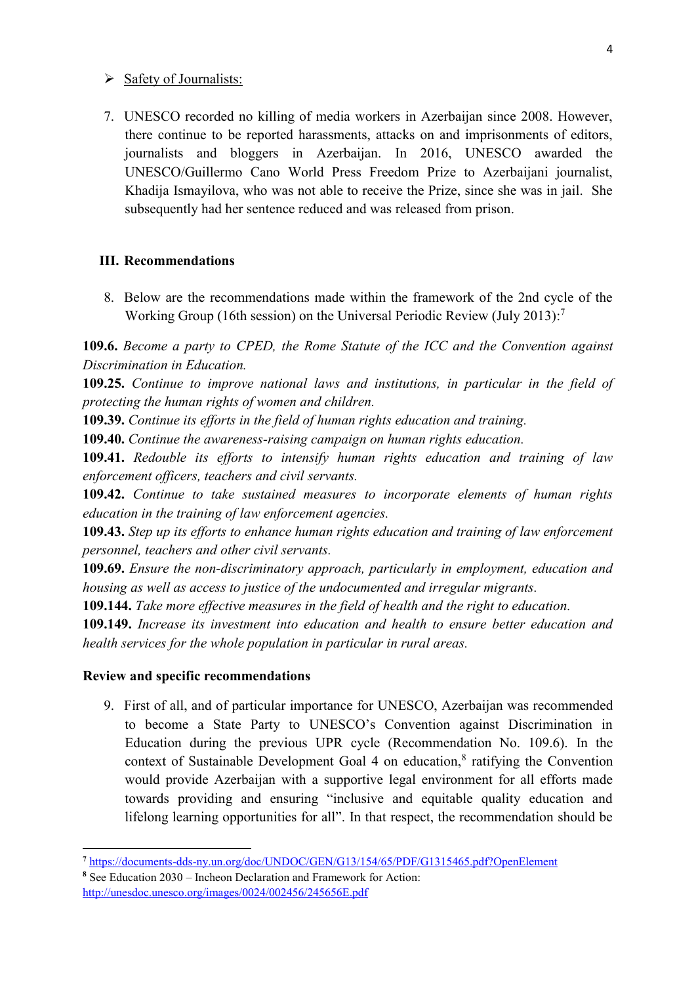#### $\triangleright$  Safety of Journalists:

7. UNESCO recorded no killing of media workers in Azerbaijan since 2008. However, there continue to be reported harassments, attacks on and imprisonments of editors, journalists and bloggers in Azerbaijan. In 2016, UNESCO awarded the UNESCO/Guillermo Cano World Press Freedom Prize to Azerbaijani journalist, Khadija Ismayilova, who was not able to receive the Prize, since she was in jail. She subsequently had her sentence reduced and was released from prison.

#### **III. Recommendations**

8. Below are the recommendations made within the framework of the 2nd cycle of the Working Group (16th session) on the Universal Periodic Review (July 2013): 7

**109.6.** *Become a party to CPED, the Rome Statute of the ICC and the Convention against Discrimination in Education.*

**109.25.** *Continue to improve national laws and institutions, in particular in the field of protecting the human rights of women and children.*

**109.39.** *Continue its efforts in the field of human rights education and training.*

**109.40.** *Continue the awareness-raising campaign on human rights education.*

**109.41.** *Redouble its efforts to intensify human rights education and training of law enforcement officers, teachers and civil servants.*

**109.42.** *Continue to take sustained measures to incorporate elements of human rights education in the training of law enforcement agencies.*

**109.43.** *Step up its efforts to enhance human rights education and training of law enforcement personnel, teachers and other civil servants.*

**109.69.** *Ensure the non-discriminatory approach, particularly in employment, education and housing as well as access to justice of the undocumented and irregular migrants.*

**109.144.** *Take more effective measures in the field of health and the right to education.*

**109.149.** *Increase its investment into education and health to ensure better education and health services for the whole population in particular in rural areas.*

#### **Review and specific recommendations**

**.** 

9. First of all, and of particular importance for UNESCO, Azerbaijan was recommended to become a State Party to UNESCO's Convention against Discrimination in Education during the previous UPR cycle (Recommendation No. 109.6). In the context of Sustainable Development Goal  $4$  on education, $8$  ratifying the Convention would provide Azerbaijan with a supportive legal environment for all efforts made towards providing and ensuring "inclusive and equitable quality education and lifelong learning opportunities for all". In that respect, the recommendation should be

**<sup>7</sup>** <https://documents-dds-ny.un.org/doc/UNDOC/GEN/G13/154/65/PDF/G1315465.pdf?OpenElement>

**<sup>8</sup>** See Education 2030 – Incheon Declaration and Framework for Action: <http://unesdoc.unesco.org/images/0024/002456/245656E.pdf>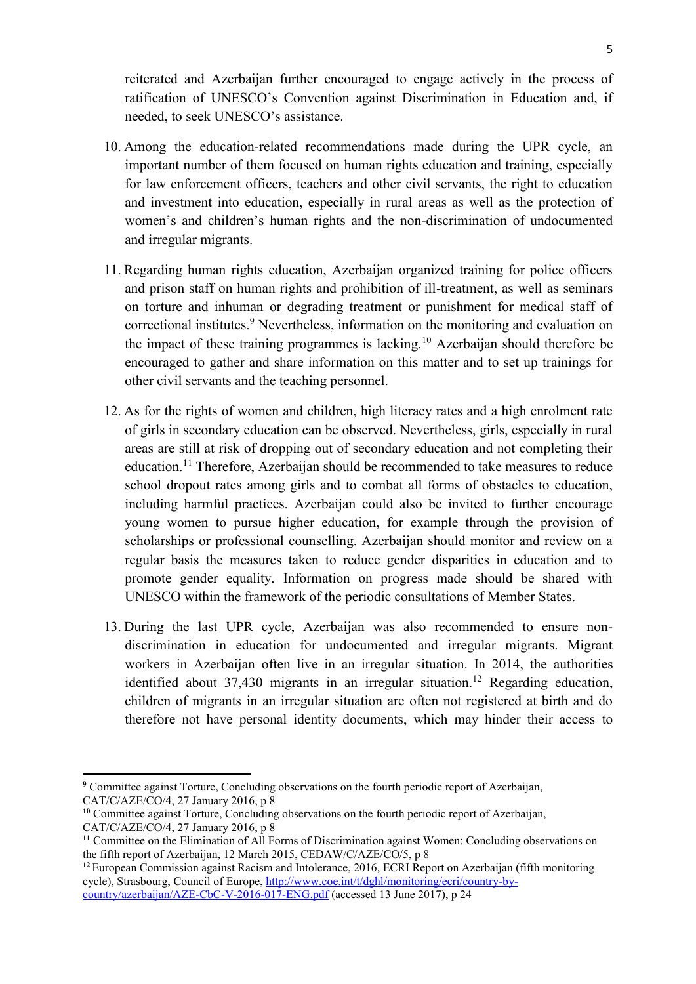reiterated and Azerbaijan further encouraged to engage actively in the process of ratification of UNESCO's Convention against Discrimination in Education and, if needed, to seek UNESCO's assistance.

- 10. Among the education-related recommendations made during the UPR cycle, an important number of them focused on human rights education and training, especially for law enforcement officers, teachers and other civil servants, the right to education and investment into education, especially in rural areas as well as the protection of women's and children's human rights and the non-discrimination of undocumented and irregular migrants.
- 11. Regarding human rights education, Azerbaijan organized training for police officers and prison staff on human rights and prohibition of ill-treatment, as well as seminars on torture and inhuman or degrading treatment or punishment for medical staff of correctional institutes.<sup>9</sup> Nevertheless, information on the monitoring and evaluation on the impact of these training programmes is lacking.<sup>10</sup> Azerbaijan should therefore be encouraged to gather and share information on this matter and to set up trainings for other civil servants and the teaching personnel.
- 12. As for the rights of women and children, high literacy rates and a high enrolment rate of girls in secondary education can be observed. Nevertheless, girls, especially in rural areas are still at risk of dropping out of secondary education and not completing their education.<sup>11</sup> Therefore, Azerbaijan should be recommended to take measures to reduce school dropout rates among girls and to combat all forms of obstacles to education, including harmful practices. Azerbaijan could also be invited to further encourage young women to pursue higher education, for example through the provision of scholarships or professional counselling. Azerbaijan should monitor and review on a regular basis the measures taken to reduce gender disparities in education and to promote gender equality. Information on progress made should be shared with UNESCO within the framework of the periodic consultations of Member States.
- 13. During the last UPR cycle, Azerbaijan was also recommended to ensure nondiscrimination in education for undocumented and irregular migrants. Migrant workers in Azerbaijan often live in an irregular situation. In 2014, the authorities identified about  $37,430$  migrants in an irregular situation.<sup>12</sup> Regarding education, children of migrants in an irregular situation are often not registered at birth and do therefore not have personal identity documents, which may hinder their access to

**<sup>.</sup> <sup>9</sup>** Committee against Torture, Concluding observations on the fourth periodic report of Azerbaijan, CAT/C/AZE/CO/4, 27 January 2016, p 8

<sup>&</sup>lt;sup>10</sup> Committee against Torture, Concluding observations on the fourth periodic report of Azerbaijan, CAT/C/AZE/CO/4, 27 January 2016, p 8

**<sup>11</sup>** Committee on the Elimination of All Forms of Discrimination against Women: Concluding observations on the fifth report of Azerbaijan, 12 March 2015, CEDAW/C/AZE/CO/5, p 8

<sup>&</sup>lt;sup>12</sup> European Commission against Racism and Intolerance, 2016, ECRI Report on Azerbaijan (fifth monitoring cycle), Strasbourg, Council of Europe, [http://www.coe.int/t/dghl/monitoring/ecri/country-by](http://www.coe.int/t/dghl/monitoring/ecri/country-by-country/azerbaijan/AZE-CbC-V-2016-017-ENG.pdf)[country/azerbaijan/AZE-CbC-V-2016-017-ENG.pdf](http://www.coe.int/t/dghl/monitoring/ecri/country-by-country/azerbaijan/AZE-CbC-V-2016-017-ENG.pdf) (accessed 13 June 2017), p 24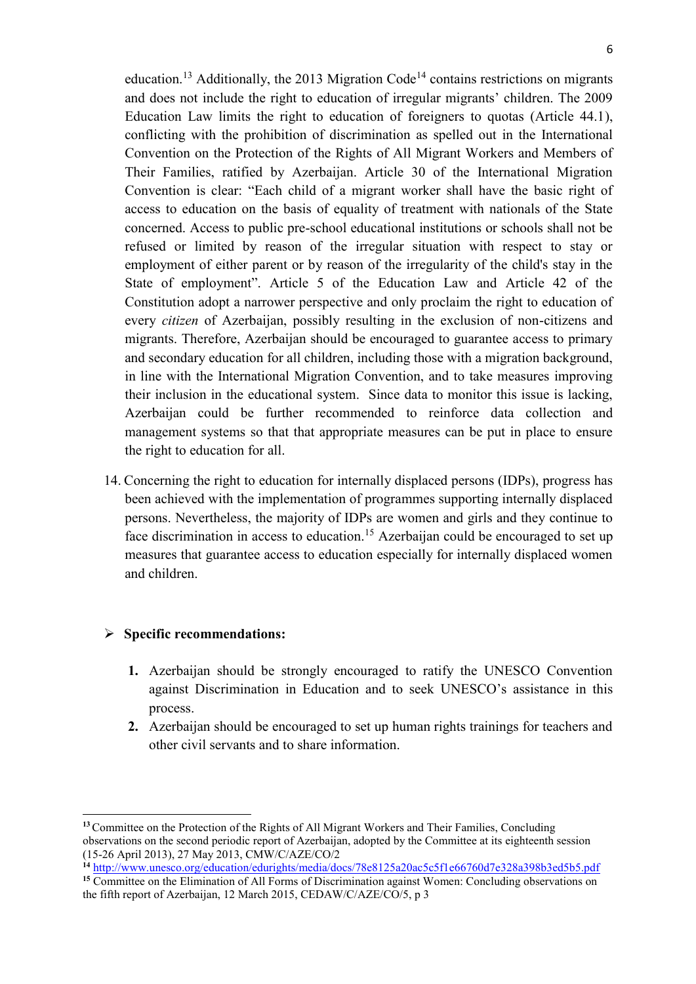education.<sup>13</sup> Additionally, the 2013 Migration Code<sup>14</sup> contains restrictions on migrants and does not include the right to education of irregular migrants' children. The 2009 Education Law limits the right to education of foreigners to quotas (Article 44.1), conflicting with the prohibition of discrimination as spelled out in the International Convention on the Protection of the Rights of All Migrant Workers and Members of Their Families, ratified by Azerbaijan. Article 30 of the International Migration Convention is clear: "Each child of a migrant worker shall have the basic right of access to education on the basis of equality of treatment with nationals of the State concerned. Access to public pre-school educational institutions or schools shall not be refused or limited by reason of the irregular situation with respect to stay or employment of either parent or by reason of the irregularity of the child's stay in the State of employment". Article 5 of the Education Law and Article 42 of the Constitution adopt a narrower perspective and only proclaim the right to education of every *citizen* of Azerbaijan, possibly resulting in the exclusion of non-citizens and migrants. Therefore, Azerbaijan should be encouraged to guarantee access to primary and secondary education for all children, including those with a migration background, in line with the International Migration Convention, and to take measures improving their inclusion in the educational system. Since data to monitor this issue is lacking, Azerbaijan could be further recommended to reinforce data collection and management systems so that that appropriate measures can be put in place to ensure the right to education for all.

14. Concerning the right to education for internally displaced persons (IDPs), progress has been achieved with the implementation of programmes supporting internally displaced persons. Nevertheless, the majority of IDPs are women and girls and they continue to face discrimination in access to education.<sup>15</sup> Azerbaijan could be encouraged to set up measures that guarantee access to education especially for internally displaced women and children.

#### **Specific recommendations:**

 $\overline{a}$ 

- **1.** Azerbaijan should be strongly encouraged to ratify the UNESCO Convention against Discrimination in Education and to seek UNESCO's assistance in this process.
- **2.** Azerbaijan should be encouraged to set up human rights trainings for teachers and other civil servants and to share information.

**<sup>13</sup>**Committee on the Protection of the Rights of All Migrant Workers and Their Families, Concluding observations on the second periodic report of Azerbaijan, adopted by the Committee at its eighteenth session (15-26 April 2013), 27 May 2013, CMW/C/AZE/CO/2

**<sup>14</sup>** <http://www.unesco.org/education/edurights/media/docs/78e8125a20ac5c5f1e66760d7e328a398b3ed5b5.pdf>

<sup>&</sup>lt;sup>15</sup> Committee on the Elimination of All Forms of Discrimination against Women: Concluding observations on the fifth report of Azerbaijan, 12 March 2015, CEDAW/C/AZE/CO/5, p 3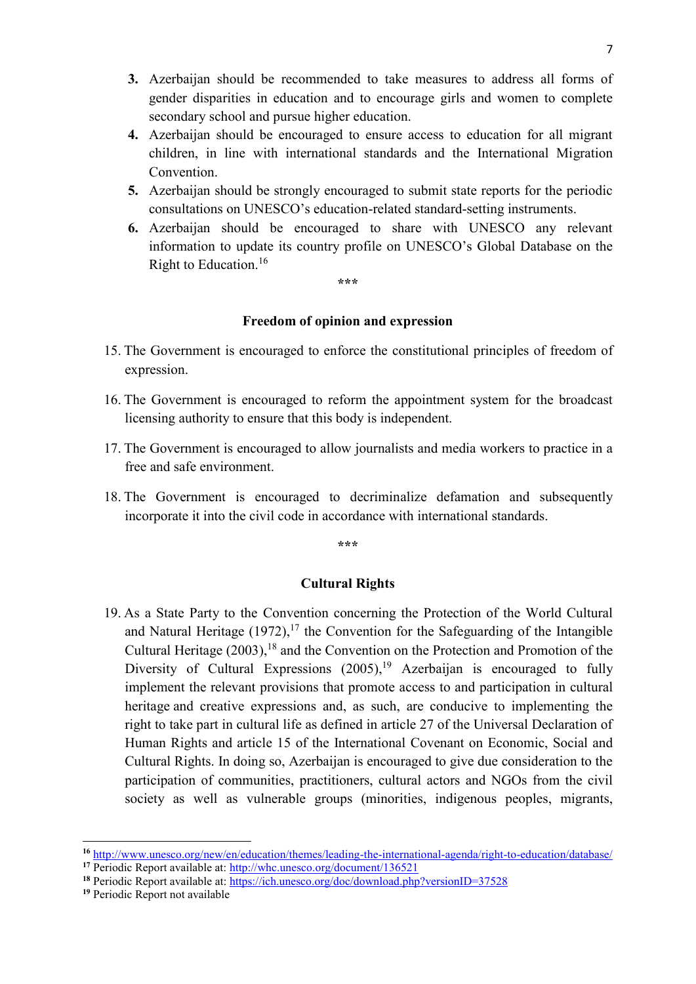- **3.** Azerbaijan should be recommended to take measures to address all forms of gender disparities in education and to encourage girls and women to complete secondary school and pursue higher education.
- **4.** Azerbaijan should be encouraged to ensure access to education for all migrant children, in line with international standards and the International Migration Convention.
- **5.** Azerbaijan should be strongly encouraged to submit state reports for the periodic consultations on UNESCO's education-related standard-setting instruments.
- **6.** Azerbaijan should be encouraged to share with UNESCO any relevant information to update its country profile on UNESCO's Global Database on the Right to Education. 16

**\*\*\***

#### **Freedom of opinion and expression**

- 15. The Government is encouraged to enforce the constitutional principles of freedom of expression.
- 16. The Government is encouraged to reform the appointment system for the broadcast licensing authority to ensure that this body is independent.
- 17. The Government is encouraged to allow journalists and media workers to practice in a free and safe environment.
- 18. The Government is encouraged to decriminalize defamation and subsequently incorporate it into the civil code in accordance with international standards.

**\*\*\***

#### **Cultural Rights**

19. As a State Party to the Convention concerning the Protection of the World Cultural and Natural Heritage  $(1972)$ ,<sup>17</sup> the Convention for the Safeguarding of the Intangible Cultural Heritage  $(2003)$ , <sup>18</sup> and the Convention on the Protection and Promotion of the Diversity of Cultural Expressions (2005),<sup>19</sup> Azerbaijan is encouraged to fully implement the relevant provisions that promote access to and participation in cultural heritage and creative expressions and, as such, are conducive to implementing the right to take part in cultural life as defined in article 27 of the Universal Declaration of Human Rights and article 15 of the International Covenant on Economic, Social and Cultural Rights. In doing so, Azerbaijan is encouraged to give due consideration to the participation of communities, practitioners, cultural actors and NGOs from the civil society as well as vulnerable groups (minorities, indigenous peoples, migrants,

**.** 

**<sup>16</sup>** <http://www.unesco.org/new/en/education/themes/leading-the-international-agenda/right-to-education/database/> <sup>17</sup> Periodic Report available at:<http://whc.unesco.org/document/136521>

**<sup>18</sup>** Periodic Report available at:<https://ich.unesco.org/doc/download.php?versionID=37528>

**<sup>19</sup>** Periodic Report not available